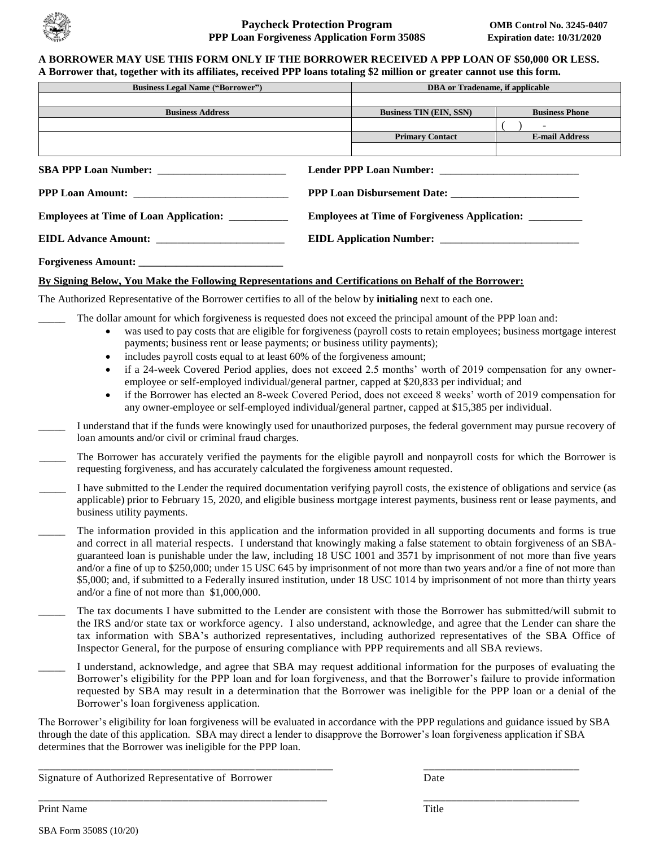

#### **A BORROWER MAY USE THIS FORM ONLY IF THE BORROWER RECEIVED A PPP LOAN OF \$50,000 OR LESS. A Borrower that, together with its affiliates, received PPP loans totaling \$2 million or greater cannot use this form.**

| <b>Business Legal Name ("Borrower")</b>       |  | DBA or Tradename, if applicable                      |                       |  |
|-----------------------------------------------|--|------------------------------------------------------|-----------------------|--|
|                                               |  |                                                      |                       |  |
| <b>Business Address</b>                       |  | <b>Business TIN (EIN, SSN)</b>                       | <b>Business Phone</b> |  |
|                                               |  |                                                      |                       |  |
|                                               |  | <b>Primary Contact</b>                               | <b>E-mail Address</b> |  |
|                                               |  |                                                      |                       |  |
|                                               |  |                                                      |                       |  |
|                                               |  |                                                      |                       |  |
| <b>Employees at Time of Loan Application:</b> |  | <b>Employees at Time of Forgiveness Application:</b> |                       |  |
|                                               |  |                                                      |                       |  |
|                                               |  |                                                      |                       |  |

## **By Signing Below, You Make the Following Representations and Certifications on Behalf of the Borrower:**

The Authorized Representative of the Borrower certifies to all of the below by **initialing** next to each one.

- The dollar amount for which forgiveness is requested does not exceed the principal amount of the PPP loan and:
	- was used to pay costs that are eligible for forgiveness (payroll costs to retain employees; business mortgage interest payments; business rent or lease payments; or business utility payments);
	- includes payroll costs equal to at least 60% of the forgiveness amount;
	- if a 24-week Covered Period applies, does not exceed 2.5 months' worth of 2019 compensation for any owneremployee or self-employed individual/general partner, capped at \$20,833 per individual; and
	- if the Borrower has elected an 8-week Covered Period, does not exceed 8 weeks' worth of 2019 compensation for any owner-employee or self-employed individual/general partner, capped at \$15,385 per individual.
- \_\_\_\_\_ I understand that if the funds were knowingly used for unauthorized purposes, the federal government may pursue recovery of loan amounts and/or civil or criminal fraud charges.
- The Borrower has accurately verified the payments for the eligible payroll and nonpayroll costs for which the Borrower is requesting forgiveness, and has accurately calculated the forgiveness amount requested.
- \_\_\_\_\_ I have submitted to the Lender the required documentation verifying payroll costs, the existence of obligations and service (as applicable) prior to February 15, 2020, and eligible business mortgage interest payments, business rent or lease payments, and business utility payments.
- The information provided in this application and the information provided in all supporting documents and forms is true and correct in all material respects. I understand that knowingly making a false statement to obtain forgiveness of an SBAguaranteed loan is punishable under the law, including 18 USC 1001 and 3571 by imprisonment of not more than five years and/or a fine of up to \$250,000; under 15 USC 645 by imprisonment of not more than two years and/or a fine of not more than \$5,000; and, if submitted to a Federally insured institution, under 18 USC 1014 by imprisonment of not more than thirty years and/or a fine of not more than \$1,000,000.
- The tax documents I have submitted to the Lender are consistent with those the Borrower has submitted/will submit to the IRS and/or state tax or workforce agency. I also understand, acknowledge, and agree that the Lender can share the tax information with SBA's authorized representatives, including authorized representatives of the SBA Office of Inspector General, for the purpose of ensuring compliance with PPP requirements and all SBA reviews.
- \_\_\_\_\_ I understand, acknowledge, and agree that SBA may request additional information for the purposes of evaluating the Borrower's eligibility for the PPP loan and for loan forgiveness, and that the Borrower's failure to provide information requested by SBA may result in a determination that the Borrower was ineligible for the PPP loan or a denial of the Borrower's loan forgiveness application.

The Borrower's eligibility for loan forgiveness will be evaluated in accordance with the PPP regulations and guidance issued by SBA through the date of this application. SBA may direct a lender to disapprove the Borrower's loan forgiveness application if SBA determines that the Borrower was ineligible for the PPP loan.

\_\_\_\_\_\_\_\_\_\_\_\_\_\_\_\_\_\_\_\_\_\_\_\_\_\_\_\_\_\_\_\_\_\_\_\_\_\_\_\_\_\_\_\_\_\_\_\_\_\_\_\_\_ \_\_\_\_\_\_\_\_\_\_\_\_\_\_\_\_\_\_\_\_\_\_\_\_\_\_\_\_

\_\_\_\_\_\_\_\_\_\_\_\_\_\_\_\_\_\_\_\_\_\_\_\_\_\_\_\_\_\_\_\_\_\_\_\_\_\_\_\_\_\_\_\_\_\_\_\_\_\_\_\_ \_\_\_\_\_\_\_\_\_\_\_\_\_\_\_\_\_\_\_\_\_\_\_\_\_\_\_\_

Signature of Authorized Representative of Borrower Date

Print Name Title